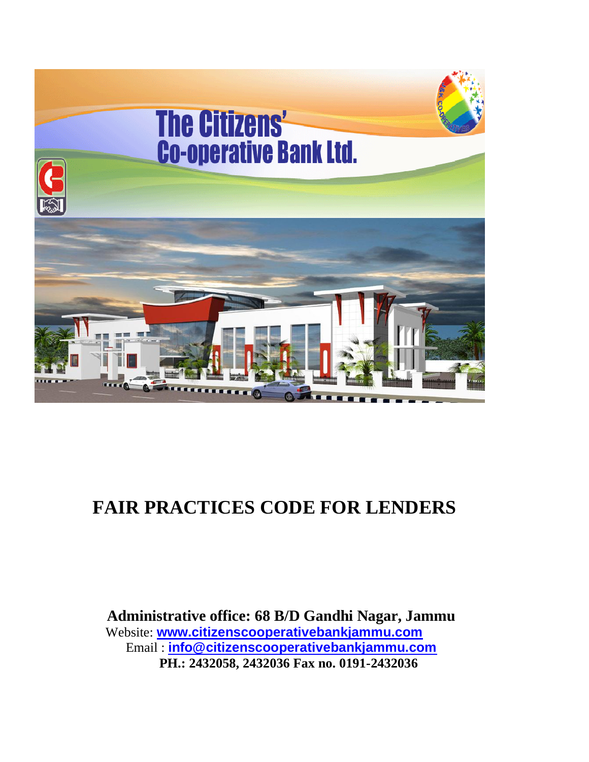

# **FAIR PRACTICES CODE FOR LENDERS**

 **Administrative office: 68 B/D Gandhi Nagar, Jammu** Website: **[www.citizenscooperativebankjammu.com](http://www.citizenscooperativebankjammu.com/)** Email : **[info@citizenscooperativebankjammu.com](mailto:info@citizenscooperativebankjammu.com) PH.: 2432058, 2432036 Fax no. 0191-2432036**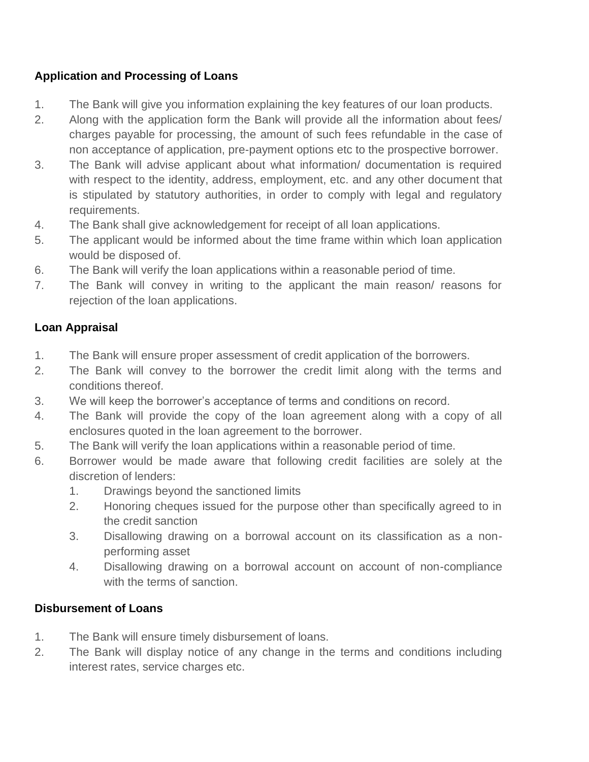## **Application and Processing of Loans**

- 1. The Bank will give you information explaining the key features of our loan products.
- 2. Along with the application form the Bank will provide all the information about fees/ charges payable for processing, the amount of such fees refundable in the case of non acceptance of application, pre-payment options etc to the prospective borrower.
- 3. The Bank will advise applicant about what information/ documentation is required with respect to the identity, address, employment, etc. and any other document that is stipulated by statutory authorities, in order to comply with legal and regulatory requirements.
- 4. The Bank shall give acknowledgement for receipt of all loan applications.
- 5. The applicant would be informed about the time frame within which loan application would be disposed of.
- 6. The Bank will verify the loan applications within a reasonable period of time.
- 7. The Bank will convey in writing to the applicant the main reason/ reasons for rejection of the loan applications.

# **Loan Appraisal**

- 1. The Bank will ensure proper assessment of credit application of the borrowers.
- 2. The Bank will convey to the borrower the credit limit along with the terms and conditions thereof.
- 3. We will keep the borrower's acceptance of terms and conditions on record.
- 4. The Bank will provide the copy of the loan agreement along with a copy of all enclosures quoted in the loan agreement to the borrower.
- 5. The Bank will verify the loan applications within a reasonable period of time.
- 6. Borrower would be made aware that following credit facilities are solely at the discretion of lenders:
	- 1. Drawings beyond the sanctioned limits
	- 2. Honoring cheques issued for the purpose other than specifically agreed to in the credit sanction
	- 3. Disallowing drawing on a borrowal account on its classification as a nonperforming asset
	- 4. Disallowing drawing on a borrowal account on account of non-compliance with the terms of sanction.

# **Disbursement of Loans**

- 1. The Bank will ensure timely disbursement of loans.
- 2. The Bank will display notice of any change in the terms and conditions including interest rates, service charges etc.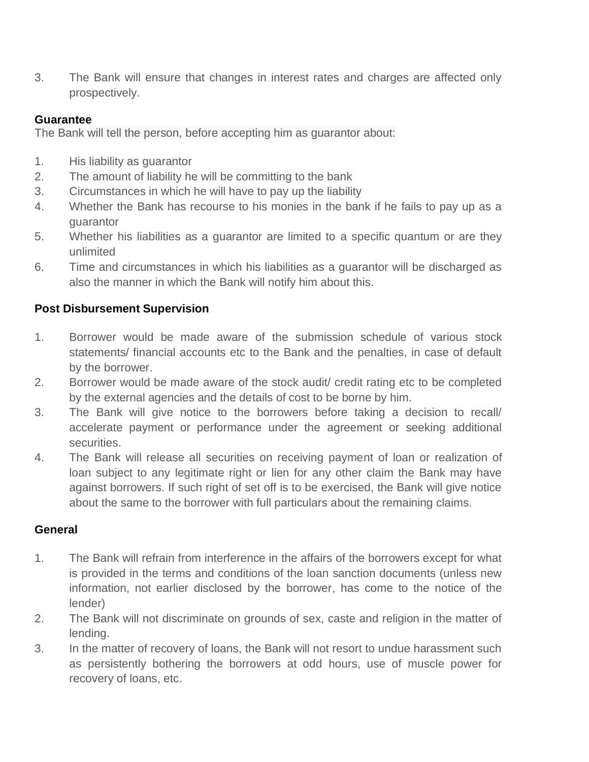3. The Bank will ensure that changes in interest rates and charges are affected only prospectively.

### **Guarantee**

The Bank will tell the person, before accepting him as guarantor about:

- 1. His liability as guarantor
- 2. The amount of liability he will be committing to the bank
- 3. Circumstances in which he will have to pay up the liability
- 4. Whether the Bank has recourse to his monies in the bank if he fails to pay up as a guarantor
- 5. Whether his liabilities as a guarantor are limited to a specific quantum or are they unlimited
- 6. Time and circumstances in which his liabilities as a guarantor will be discharged as also the manner in which the Bank will notify him about this.

# **Post Disbursement Supervision**

- 1. Borrower would be made aware of the submission schedule of various stock statements/ financial accounts etc to the Bank and the penalties, in case of default by the borrower.
- 2. Borrower would be made aware of the stock audit/ credit rating etc to be completed by the external agencies and the details of cost to be borne by him.
- 3. The Bank will give notice to the borrowers before taking a decision to recall/ accelerate payment or performance under the agreement or seeking additional securities.
- 4. The Bank will release all securities on receiving payment of loan or realization of loan subject to any legitimate right or lien for any other claim the Bank may have against borrowers. If such right of set off is to be exercised, the Bank will give notice about the same to the borrower with full particulars about the remaining claims.

#### **General**

- 1. The Bank will refrain from interference in the affairs of the borrowers except for what is provided in the terms and conditions of the loan sanction documents (unless new information, not earlier disclosed by the borrower, has come to the notice of the lender)
- 2. The Bank will not discriminate on grounds of sex, caste and religion in the matter of lending.
- 3. In the matter of recovery of loans, the Bank will not resort to undue harassment such as persistently bothering the borrowers at odd hours, use of muscle power for recovery of loans, etc.